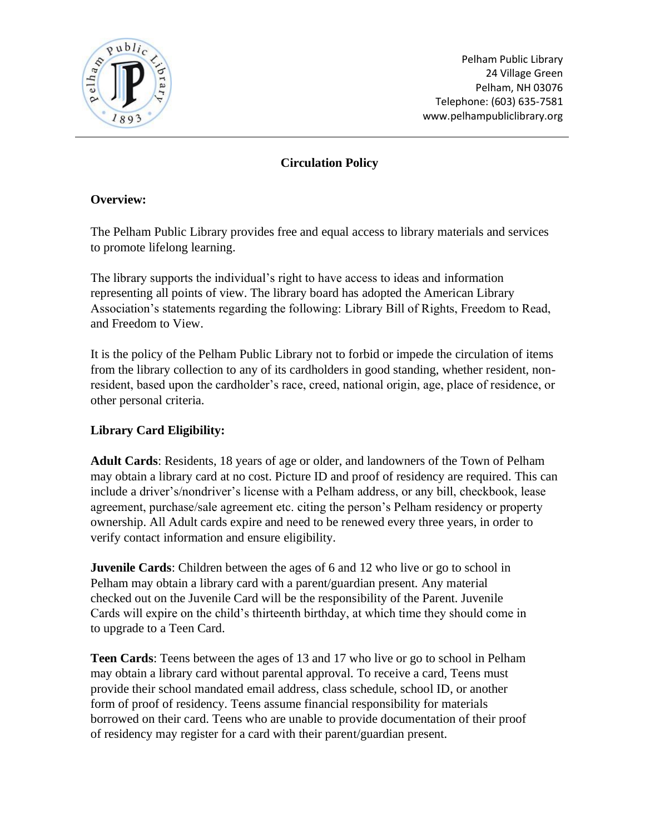

Pelham Public Library 24 Village Green Pelham, NH 03076 Telephone: (603) 635-7581 www.pelhampubliclibrary.org

# **Circulation Policy**

#### **Overview:**

The Pelham Public Library provides free and equal access to library materials and services to promote lifelong learning.

The library supports the individual's right to have access to ideas and information representing all points of view. The library board has adopted the American Library Association's statements regarding the following: Library Bill of Rights, Freedom to Read, and Freedom to View.

It is the policy of the Pelham Public Library not to forbid or impede the circulation of items from the library collection to any of its cardholders in good standing, whether resident, nonresident, based upon the cardholder's race, creed, national origin, age, place of residence, or other personal criteria.

# **Library Card Eligibility:**

**Adult Cards**: Residents, 18 years of age or older, and landowners of the Town of Pelham may obtain a library card at no cost. Picture ID and proof of residency are required. This can include a driver's/nondriver's license with a Pelham address, or any bill, checkbook, lease agreement, purchase/sale agreement etc. citing the person's Pelham residency or property ownership. All Adult cards expire and need to be renewed every three years, in order to verify contact information and ensure eligibility.

**Juvenile Cards**: Children between the ages of 6 and 12 who live or go to school in Pelham may obtain a library card with a parent/guardian present. Any material checked out on the Juvenile Card will be the responsibility of the Parent. Juvenile Cards will expire on the child's thirteenth birthday, at which time they should come in to upgrade to a Teen Card.

**Teen Cards**: Teens between the ages of 13 and 17 who live or go to school in Pelham may obtain a library card without parental approval. To receive a card, Teens must provide their school mandated email address, class schedule, school ID, or another form of proof of residency. Teens assume financial responsibility for materials borrowed on their card. Teens who are unable to provide documentation of their proof of residency may register for a card with their parent/guardian present.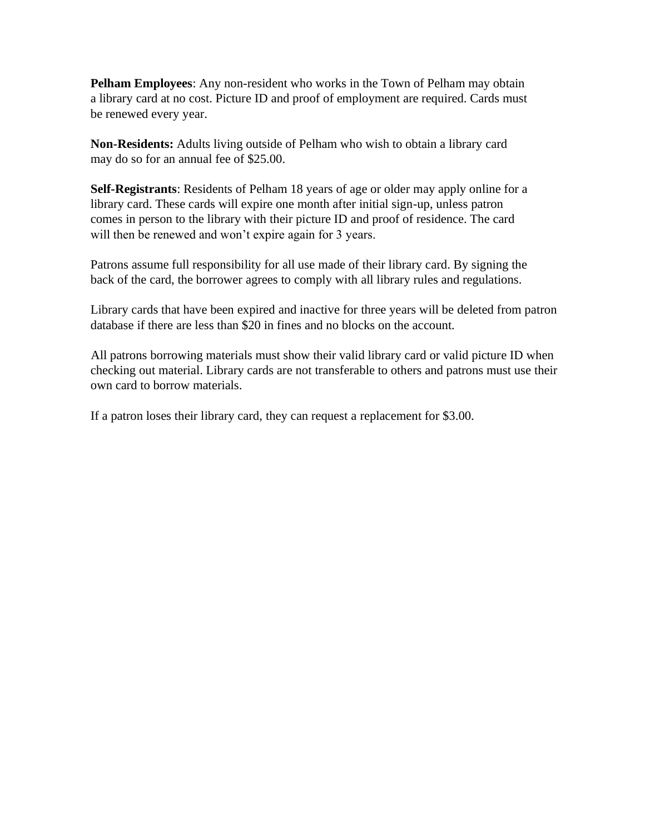**Pelham Employees**: Any non-resident who works in the Town of Pelham may obtain a library card at no cost. Picture ID and proof of employment are required. Cards must be renewed every year.

**Non-Residents:** Adults living outside of Pelham who wish to obtain a library card may do so for an annual fee of \$25.00.

**Self-Registrants**: Residents of Pelham 18 years of age or older may apply online for a library card. These cards will expire one month after initial sign-up, unless patron comes in person to the library with their picture ID and proof of residence. The card will then be renewed and won't expire again for 3 years.

Patrons assume full responsibility for all use made of their library card. By signing the back of the card, the borrower agrees to comply with all library rules and regulations.

Library cards that have been expired and inactive for three years will be deleted from patron database if there are less than \$20 in fines and no blocks on the account.

All patrons borrowing materials must show their valid library card or valid picture ID when checking out material. Library cards are not transferable to others and patrons must use their own card to borrow materials.

If a patron loses their library card, they can request a replacement for \$3.00.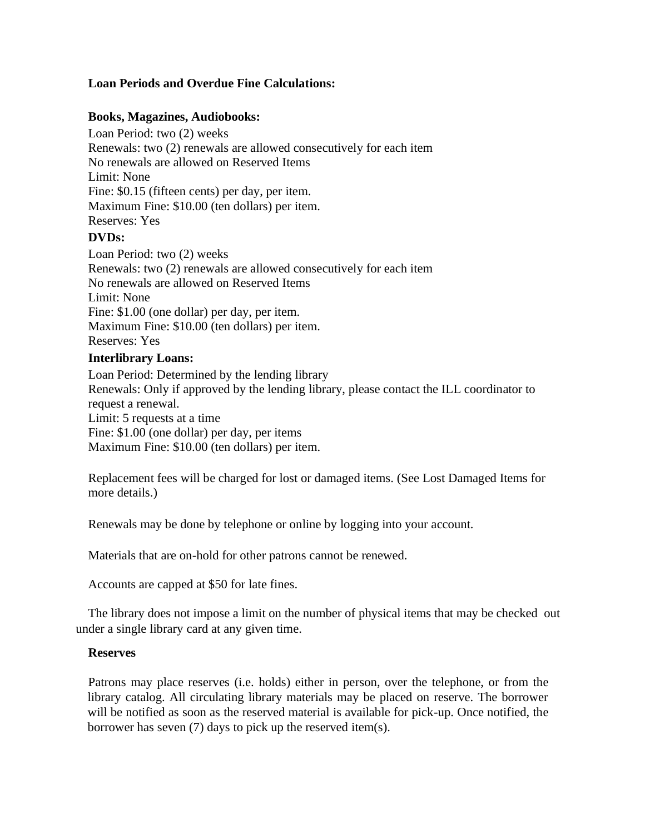# **Loan Periods and Overdue Fine Calculations:**

#### **Books, Magazines, Audiobooks:**

Loan Period: two (2) weeks Renewals: two (2) renewals are allowed consecutively for each item No renewals are allowed on Reserved Items Limit: None Fine: \$0.15 (fifteen cents) per day, per item. Maximum Fine: \$10.00 (ten dollars) per item. Reserves: Yes

#### **DVDs:**

Loan Period: two (2) weeks Renewals: two (2) renewals are allowed consecutively for each item No renewals are allowed on Reserved Items Limit: None Fine: \$1.00 (one dollar) per day, per item. Maximum Fine: \$10.00 (ten dollars) per item. Reserves: Yes **Interlibrary Loans:**

Loan Period: Determined by the lending library Renewals: Only if approved by the lending library, please contact the ILL coordinator to request a renewal. Limit: 5 requests at a time Fine: \$1.00 (one dollar) per day, per items Maximum Fine: \$10.00 (ten dollars) per item.

Replacement fees will be charged for lost or damaged items. (See Lost Damaged Items for more details.)

Renewals may be done by telephone or online by logging into your account.

Materials that are on-hold for other patrons cannot be renewed.

Accounts are capped at \$50 for late fines.

The library does not impose a limit on the number of physical items that may be checked out under a single library card at any given time.

#### **Reserves**

Patrons may place reserves (i.e. holds) either in person, over the telephone, or from the library catalog. All circulating library materials may be placed on reserve. The borrower will be notified as soon as the reserved material is available for pick-up. Once notified, the borrower has seven (7) days to pick up the reserved item(s).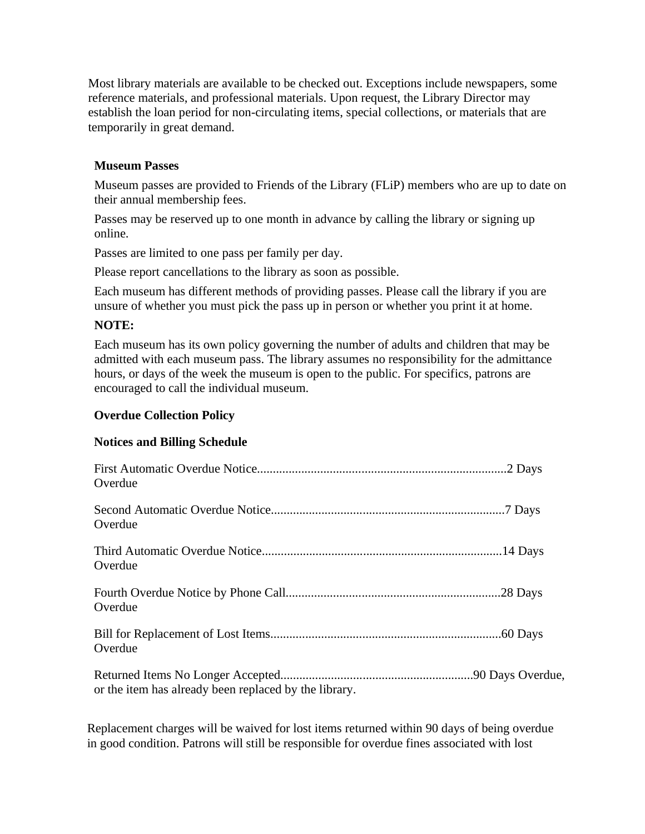Most library materials are available to be checked out. Exceptions include newspapers, some reference materials, and professional materials. Upon request, the Library Director may establish the loan period for non-circulating items, special collections, or materials that are temporarily in great demand.

### **Museum Passes**

Museum passes are provided to Friends of the Library (FLiP) members who are up to date on their annual membership fees.

Passes may be reserved up to one month in advance by calling the library or signing up online.

Passes are limited to one pass per family per day.

Please report cancellations to the library as soon as possible.

Each museum has different methods of providing passes. Please call the library if you are unsure of whether you must pick the pass up in person or whether you print it at home.

#### **NOTE:**

Each museum has its own policy governing the number of adults and children that may be admitted with each museum pass. The library assumes no responsibility for the admittance hours, or days of the week the museum is open to the public. For specifics, patrons are encouraged to call the individual museum.

#### **Overdue Collection Policy**

#### **Notices and Billing Schedule**

| Overdue                                               |  |
|-------------------------------------------------------|--|
| Overdue                                               |  |
| Overdue                                               |  |
| Overdue                                               |  |
| Overdue                                               |  |
| or the item has already been replaced by the library. |  |

Replacement charges will be waived for lost items returned within 90 days of being overdue in good condition. Patrons will still be responsible for overdue fines associated with lost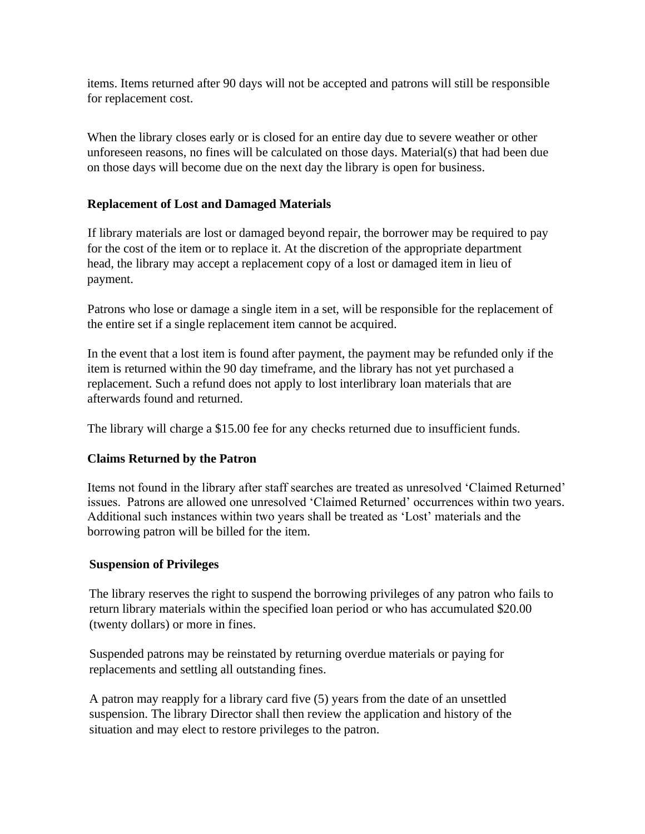items. Items returned after 90 days will not be accepted and patrons will still be responsible for replacement cost.

When the library closes early or is closed for an entire day due to severe weather or other unforeseen reasons, no fines will be calculated on those days. Material(s) that had been due on those days will become due on the next day the library is open for business.

# **Replacement of Lost and Damaged Materials**

If library materials are lost or damaged beyond repair, the borrower may be required to pay for the cost of the item or to replace it. At the discretion of the appropriate department head, the library may accept a replacement copy of a lost or damaged item in lieu of payment.

Patrons who lose or damage a single item in a set, will be responsible for the replacement of the entire set if a single replacement item cannot be acquired.

In the event that a lost item is found after payment, the payment may be refunded only if the item is returned within the 90 day timeframe, and the library has not yet purchased a replacement. Such a refund does not apply to lost interlibrary loan materials that are afterwards found and returned.

The library will charge a \$15.00 fee for any checks returned due to insufficient funds.

# **Claims Returned by the Patron**

Items not found in the library after staff searches are treated as unresolved 'Claimed Returned' issues. Patrons are allowed one unresolved 'Claimed Returned' occurrences within two years. Additional such instances within two years shall be treated as 'Lost' materials and the borrowing patron will be billed for the item.

# **Suspension of Privileges**

The library reserves the right to suspend the borrowing privileges of any patron who fails to return library materials within the specified loan period or who has accumulated \$20.00 (twenty dollars) or more in fines.

Suspended patrons may be reinstated by returning overdue materials or paying for replacements and settling all outstanding fines.

A patron may reapply for a library card five (5) years from the date of an unsettled suspension. The library Director shall then review the application and history of the situation and may elect to restore privileges to the patron.